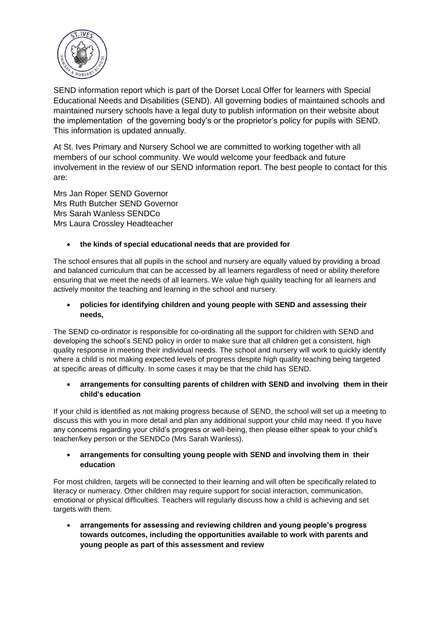

SEND information report which is part of the Dorset Local Offer for learners with Special Educational Needs and Disabilities (SEND). All governing bodies of maintained schools and maintained nursery schools have a legal duty to publish information on their website about the implementation of the governing body's or the proprietor's policy for pupils with SEND. This information is updated annually.

At St. Ives Primary and Nursery School we are committed to working together with all members of our school community. We would welcome your feedback and future involvement in the review of our SEND information report. The best people to contact for this are:

Mrs Jan Roper SEND Governor Mrs Ruth Butcher SEND Governor Mrs Sarah Wanless SENDCo Mrs Laura Crossley Headteacher

# **the kinds of special educational needs that are provided for**

The school ensures that all pupils in the school and nursery are equally valued by providing a broad and balanced curriculum that can be accessed by all learners regardless of need or ability therefore ensuring that we meet the needs of all learners. We value high quality teaching for all learners and actively monitor the teaching and learning in the school and nursery.

 **policies for identifying children and young people with SEND and assessing their needs,** 

The SEND co-ordinator is responsible for co-ordinating all the support for children with SEND and developing the school's SEND policy in order to make sure that all children get a consistent, high quality response in meeting their individual needs. The school and nursery will work to quickly identify where a child is not making expected levels of progress despite high quality teaching being targeted at specific areas of difficulty. In some cases it may be that the child has SEND.

## **arrangements for consulting parents of children with SEND and involving them in their child's education**

If your child is identified as not making progress because of SEND, the school will set up a meeting to discuss this with you in more detail and plan any additional support your child may need. If you have any concerns regarding your child's progress or well-being, then please either speak to your child's teacher/key person or the SENDCo (Mrs Sarah Wanless).

## **arrangements for consulting young people with SEND and involving them in their education**

For most children, targets will be connected to their learning and will often be specifically related to literacy or numeracy. Other children may require support for social interaction, communication, emotional or physical difficulties. Teachers will regularly discuss how a child is achieving and set targets with them.

 **arrangements for assessing and reviewing children and young people's progress towards outcomes, including the opportunities available to work with parents and young people as part of this assessment and review**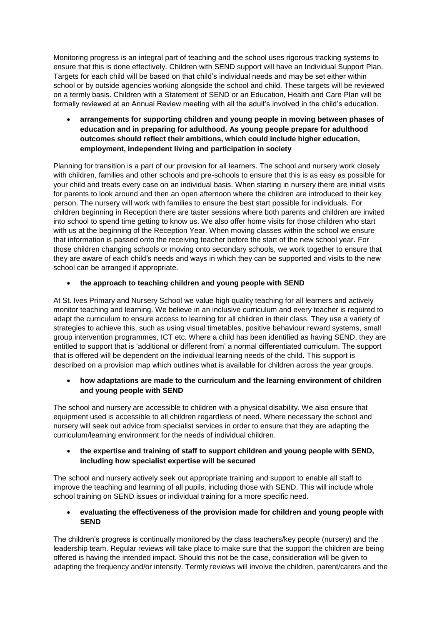Monitoring progress is an integral part of teaching and the school uses rigorous tracking systems to ensure that this is done effectively. Children with SEND support will have an Individual Support Plan. Targets for each child will be based on that child's individual needs and may be set either within school or by outside agencies working alongside the school and child. These targets will be reviewed on a termly basis. Children with a Statement of SEND or an Education, Health and Care Plan will be formally reviewed at an Annual Review meeting with all the adult's involved in the child's education.

 **arrangements for supporting children and young people in moving between phases of education and in preparing for adulthood. As young people prepare for adulthood outcomes should reflect their ambitions, which could include higher education, employment, independent living and participation in society** 

Planning for transition is a part of our provision for all learners. The school and nursery work closely with children, families and other schools and pre-schools to ensure that this is as easy as possible for your child and treats every case on an individual basis. When starting in nursery there are initial visits for parents to look around and then an open afternoon where the children are introduced to their key person. The nursery will work with families to ensure the best start possible for individuals. For children beginning in Reception there are taster sessions where both parents and children are invited into school to spend time getting to know us. We also offer home visits for those children who start with us at the beginning of the Reception Year. When moving classes within the school we ensure that information is passed onto the receiving teacher before the start of the new school year. For those children changing schools or moving onto secondary schools, we work together to ensure that they are aware of each child's needs and ways in which they can be supported and visits to the new school can be arranged if appropriate.

# **the approach to teaching children and young people with SEND**

At St. Ives Primary and Nursery School we value high quality teaching for all learners and actively monitor teaching and learning. We believe in an inclusive curriculum and every teacher is required to adapt the curriculum to ensure access to learning for all children in their class. They use a variety of strategies to achieve this, such as using visual timetables, positive behaviour reward systems, small group intervention programmes, ICT etc. Where a child has been identified as having SEND, they are entitled to support that is 'additional or different from' a normal differentiated curriculum. The support that is offered will be dependent on the individual learning needs of the child. This support is described on a provision map which outlines what is available for children across the year groups.

### **how adaptations are made to the curriculum and the learning environment of children and young people with SEND**

The school and nursery are accessible to children with a physical disability. We also ensure that equipment used is accessible to all children regardless of need. Where necessary the school and nursery will seek out advice from specialist services in order to ensure that they are adapting the curriculum/learning environment for the needs of individual children.

## **the expertise and training of staff to support children and young people with SEND, including how specialist expertise will be secured**

The school and nursery actively seek out appropriate training and support to enable all staff to improve the teaching and learning of all pupils, including those with SEND. This will include whole school training on SEND issues or individual training for a more specific need.

 **evaluating the effectiveness of the provision made for children and young people with SEND**

The children's progress is continually monitored by the class teachers/key people (nursery) and the leadership team. Regular reviews will take place to make sure that the support the children are being offered is having the intended impact. Should this not be the case, consideration will be given to adapting the frequency and/or intensity. Termly reviews will involve the children, parent/carers and the